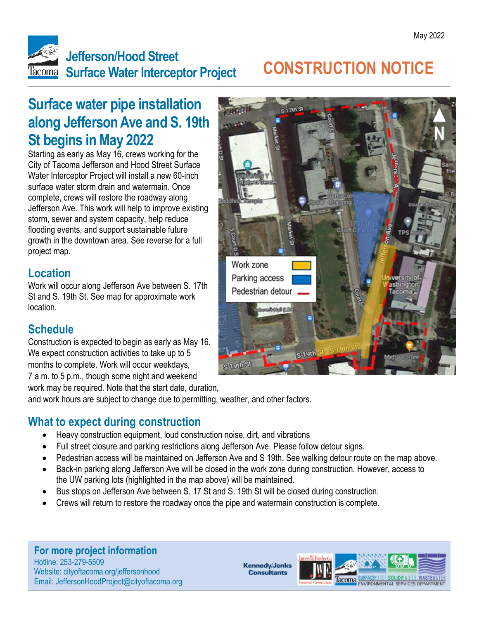

# **CONSTRUCTION NOTICE**

### **Surface water pipe installation along Jefferson Ave and S. 19th St begins in May 2022**

Starting as early as May 16, crews working for the City of Tacoma Jefferson and Hood Street Surface Water Interceptor Project will install a new 60-inch surface water storm drain and watermain. Once complete, crews will restore the roadway along Jefferson Ave. This work will help to improve existing storm, sewer and system capacity, help reduce flooding events, and support sustainable future growth in the downtown area. See reverse for a full project map.

#### **Location**

Work will occur along Jefferson Ave between S. 17th St and S. 19th St. See map for approximate work location.

### **Schedule**

Construction is expected to begin as early as May 16. We expect construction activities to take up to 5 months to complete. Work will occur weekdays, 7 a.m. to 5 p.m., though some night and weekend

work may be required. Note that the start date, duration,

and work hours are subject to change due to permitting, weather, and other factors.

#### **What to expect during construction**

- Heavy construction equipment, loud construction noise, dirt, and vibrations
- Full street closure and parking restrictions along Jefferson Ave. Please follow detour signs.
- Pedestrian access will be maintained on Jefferson Ave and S 19th. See walking detour route on the map above.
- Back-in parking along Jefferson Ave will be closed in the work zone during construction. However, access to the UW parking lots (highlighted in the map above) will be maintained.
- Bus stops on Jefferson Ave between S. 17 St and S. 19th St will be closed during construction.
- Crews will return to restore the roadway once the pipe and watermain construction is complete.

**For more project information** Hotline: 253-279-5509 Website: cityoftacoma.org/jeffersonhood Email: JeffersonHoodProject@cityoftacoma.org

**Kennedy/Jenks Consultants**